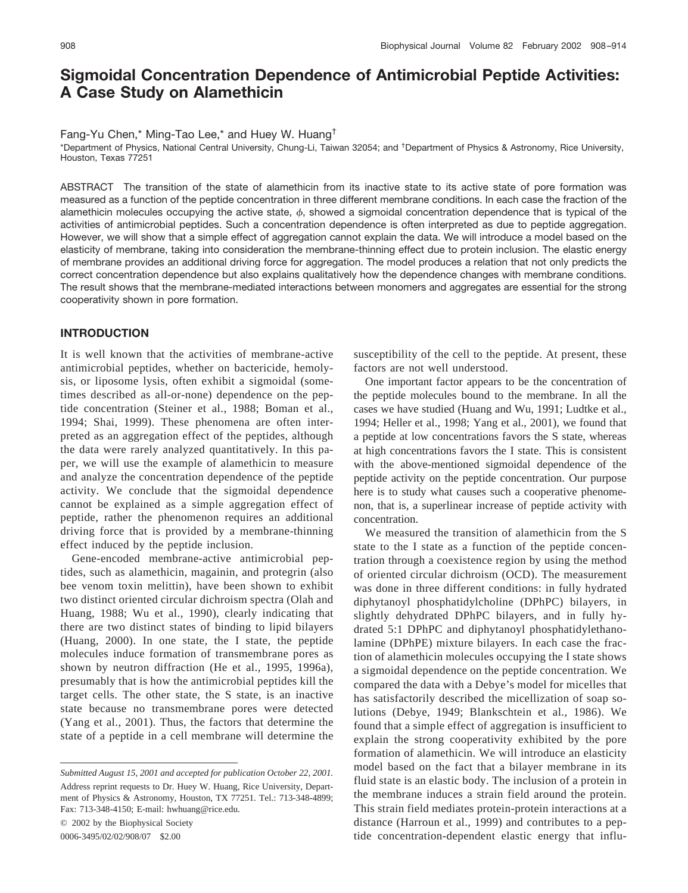# **Sigmoidal Concentration Dependence of Antimicrobial Peptide Activities: A Case Study on Alamethicin**

Fang-Yu Chen,\* Ming-Tao Lee,\* and Huey W. Huang†

\*Department of Physics, National Central University, Chung-Li, Taiwan 32054; and <sup>†</sup>Department of Physics & Astronomy, Rice University, Houston, Texas 77251

ABSTRACT The transition of the state of alamethicin from its inactive state to its active state of pore formation was measured as a function of the peptide concentration in three different membrane conditions. In each case the fraction of the alamethicin molecules occupying the active state,  $\phi$ , showed a sigmoidal concentration dependence that is typical of the activities of antimicrobial peptides. Such a concentration dependence is often interpreted as due to peptide aggregation. However, we will show that a simple effect of aggregation cannot explain the data. We will introduce a model based on the elasticity of membrane, taking into consideration the membrane-thinning effect due to protein inclusion. The elastic energy of membrane provides an additional driving force for aggregation. The model produces a relation that not only predicts the correct concentration dependence but also explains qualitatively how the dependence changes with membrane conditions. The result shows that the membrane-mediated interactions between monomers and aggregates are essential for the strong cooperativity shown in pore formation.

### **INTRODUCTION**

It is well known that the activities of membrane-active antimicrobial peptides, whether on bactericide, hemolysis, or liposome lysis, often exhibit a sigmoidal (sometimes described as all-or-none) dependence on the peptide concentration (Steiner et al., 1988; Boman et al., 1994; Shai, 1999). These phenomena are often interpreted as an aggregation effect of the peptides, although the data were rarely analyzed quantitatively. In this paper, we will use the example of alamethicin to measure and analyze the concentration dependence of the peptide activity. We conclude that the sigmoidal dependence cannot be explained as a simple aggregation effect of peptide, rather the phenomenon requires an additional driving force that is provided by a membrane-thinning effect induced by the peptide inclusion.

Gene-encoded membrane-active antimicrobial peptides, such as alamethicin, magainin, and protegrin (also bee venom toxin melittin), have been shown to exhibit two distinct oriented circular dichroism spectra (Olah and Huang, 1988; Wu et al., 1990), clearly indicating that there are two distinct states of binding to lipid bilayers (Huang, 2000). In one state, the I state, the peptide molecules induce formation of transmembrane pores as shown by neutron diffraction (He et al., 1995, 1996a), presumably that is how the antimicrobial peptides kill the target cells. The other state, the S state, is an inactive state because no transmembrane pores were detected (Yang et al., 2001). Thus, the factors that determine the state of a peptide in a cell membrane will determine the

© 2002 by the Biophysical Society

0006-3495/02/02/908/07 \$2.00

susceptibility of the cell to the peptide. At present, these factors are not well understood.

One important factor appears to be the concentration of the peptide molecules bound to the membrane. In all the cases we have studied (Huang and Wu, 1991; Ludtke et al., 1994; Heller et al., 1998; Yang et al., 2001), we found that a peptide at low concentrations favors the S state, whereas at high concentrations favors the I state. This is consistent with the above-mentioned sigmoidal dependence of the peptide activity on the peptide concentration. Our purpose here is to study what causes such a cooperative phenomenon, that is, a superlinear increase of peptide activity with concentration.

We measured the transition of alamethicin from the S state to the I state as a function of the peptide concentration through a coexistence region by using the method of oriented circular dichroism (OCD). The measurement was done in three different conditions: in fully hydrated diphytanoyl phosphatidylcholine (DPhPC) bilayers, in slightly dehydrated DPhPC bilayers, and in fully hydrated 5:1 DPhPC and diphytanoyl phosphatidylethanolamine (DPhPE) mixture bilayers. In each case the fraction of alamethicin molecules occupying the I state shows a sigmoidal dependence on the peptide concentration. We compared the data with a Debye's model for micelles that has satisfactorily described the micellization of soap solutions (Debye, 1949; Blankschtein et al., 1986). We found that a simple effect of aggregation is insufficient to explain the strong cooperativity exhibited by the pore formation of alamethicin. We will introduce an elasticity model based on the fact that a bilayer membrane in its fluid state is an elastic body. The inclusion of a protein in the membrane induces a strain field around the protein. This strain field mediates protein-protein interactions at a distance (Harroun et al., 1999) and contributes to a peptide concentration-dependent elastic energy that influ-

*Submitted August 15, 2001 and accepted for publication October 22, 2001.* Address reprint requests to Dr. Huey W. Huang, Rice University, Department of Physics & Astronomy, Houston, TX 77251. Tel.: 713-348-4899; Fax: 713-348-4150; E-mail: hwhuang@rice.edu.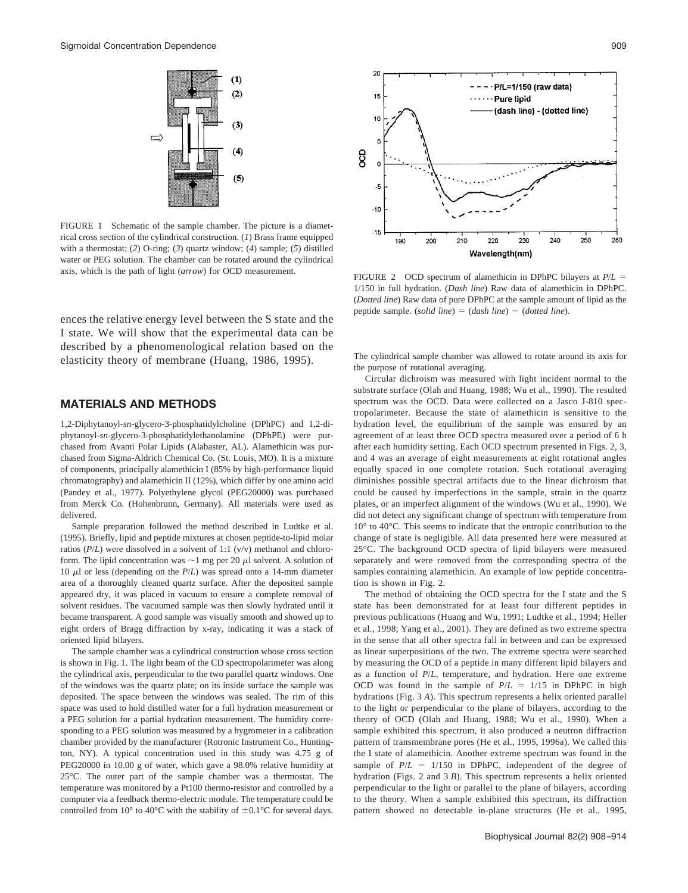

FIGURE 1 Schematic of the sample chamber. The picture is a diametrical cross section of the cylindrical construction. (*1*) Brass frame equipped with a thermostat; (*2*) O-ring; (*3*) quartz window; (*4*) sample; (*5*) distilled water or PEG solution. The chamber can be rotated around the cylindrical axis, which is the path of light (*arrow*) for OCD measurement. FIGURE 2 OCD spectrum of alamethicin in DPhPC bilayers at  $P/L =$ 

ences the relative energy level between the S state and the I state. We will show that the experimental data can be described by a phenomenological relation based on the elasticity theory of membrane (Huang, 1986, 1995).

## **MATERIALS AND METHODS**

1,2-Diphytanoyl-*sn*-glycero-3-phosphatidylcholine (DPhPC) and 1,2-diphytanoyl-*sn*-glycero-3-phosphatidylethanolamine (DPhPE) were purchased from Avanti Polar Lipids (Alabaster, AL). Alamethicin was purchased from Sigma-Aldrich Chemical Co. (St. Louis, MO). It is a mixture of components, principally alamethicin I (85% by high-performance liquid chromatography) and alamethicin II (12%), which differ by one amino acid (Pandey et al., 1977). Polyethylene glycol (PEG20000) was purchased from Merck Co. (Hohenbrunn, Germany). All materials were used as delivered.

Sample preparation followed the method described in Ludtke et al. (1995). Briefly, lipid and peptide mixtures at chosen peptide-to-lipid molar ratios  $(P/L)$  were dissolved in a solvent of 1:1  $(v/v)$  methanol and chloroform. The lipid concentration was  $\sim$ 1 mg per 20  $\mu$ l solvent. A solution of 10  $\mu$ l or less (depending on the *P/L*) was spread onto a 14-mm diameter area of a thoroughly cleaned quartz surface. After the deposited sample appeared dry, it was placed in vacuum to ensure a complete removal of solvent residues. The vacuumed sample was then slowly hydrated until it became transparent. A good sample was visually smooth and showed up to eight orders of Bragg diffraction by x-ray, indicating it was a stack of oriented lipid bilayers.

The sample chamber was a cylindrical construction whose cross section is shown in Fig. 1. The light beam of the CD spectropolarimeter was along the cylindrical axis, perpendicular to the two parallel quartz windows. One of the windows was the quartz plate; on its inside surface the sample was deposited. The space between the windows was sealed. The rim of this space was used to hold distilled water for a full hydration measurement or a PEG solution for a partial hydration measurement. The humidity corresponding to a PEG solution was measured by a hygrometer in a calibration chamber provided by the manufacturer (Rotronic Instrument Co., Huntington, NY). A typical concentration used in this study was 4.75 g of PEG20000 in 10.00 g of water, which gave a 98.0% relative humidity at 25°C. The outer part of the sample chamber was a thermostat. The temperature was monitored by a Pt100 thermo-resistor and controlled by a computer via a feedback thermo-electric module. The temperature could be controlled from 10 $^{\circ}$  to 40 $^{\circ}$ C with the stability of  $\pm 0.1$  $^{\circ}$ C for several days.



1/150 in full hydration. (*Dash line*) Raw data of alamethicin in DPhPC. (*Dotted line*) Raw data of pure DPhPC at the sample amount of lipid as the peptide sample. (*solid line*) =  $(dash line)$  –  $(dotted line)$ .

The cylindrical sample chamber was allowed to rotate around its axis for the purpose of rotational averaging.

Circular dichroism was measured with light incident normal to the substrate surface (Olah and Huang, 1988; Wu et al., 1990). The resulted spectrum was the OCD. Data were collected on a Jasco J-810 spectropolarimeter. Because the state of alamethicin is sensitive to the hydration level, the equilibrium of the sample was ensured by an agreement of at least three OCD spectra measured over a period of 6 h after each humidity setting. Each OCD spectrum presented in Figs. 2, 3, and 4 was an average of eight measurements at eight rotational angles equally spaced in one complete rotation. Such rotational averaging diminishes possible spectral artifacts due to the linear dichroism that could be caused by imperfections in the sample, strain in the quartz plates, or an imperfect alignment of the windows (Wu et al., 1990). We did not detect any significant change of spectrum with temperature from 10° to 40°C. This seems to indicate that the entropic contribution to the change of state is negligible. All data presented here were measured at 25°C. The background OCD spectra of lipid bilayers were measured separately and were removed from the corresponding spectra of the samples containing alamethicin. An example of low peptide concentration is shown in Fig. 2.

The method of obtaining the OCD spectra for the I state and the S state has been demonstrated for at least four different peptides in previous publications (Huang and Wu, 1991; Ludtke et al., 1994; Heller et al., 1998; Yang et al., 2001). They are defined as two extreme spectra in the sense that all other spectra fall in between and can be expressed as linear superpositions of the two. The extreme spectra were searched by measuring the OCD of a peptide in many different lipid bilayers and as a function of *P*/*L*, temperature, and hydration. Here one extreme OCD was found in the sample of  $P/L = 1/15$  in DPhPC in high hydrations (Fig. 3 *A*). This spectrum represents a helix oriented parallel to the light or perpendicular to the plane of bilayers, according to the theory of OCD (Olah and Huang, 1988; Wu et al., 1990). When a sample exhibited this spectrum, it also produced a neutron diffraction pattern of transmembrane pores (He et al., 1995, 1996a). We called this the I state of alamethicin. Another extreme spectrum was found in the sample of  $P/L = 1/150$  in DPhPC, independent of the degree of hydration (Figs. 2 and 3 *B*). This spectrum represents a helix oriented perpendicular to the light or parallel to the plane of bilayers, according to the theory. When a sample exhibited this spectrum, its diffraction pattern showed no detectable in-plane structures (He et al., 1995,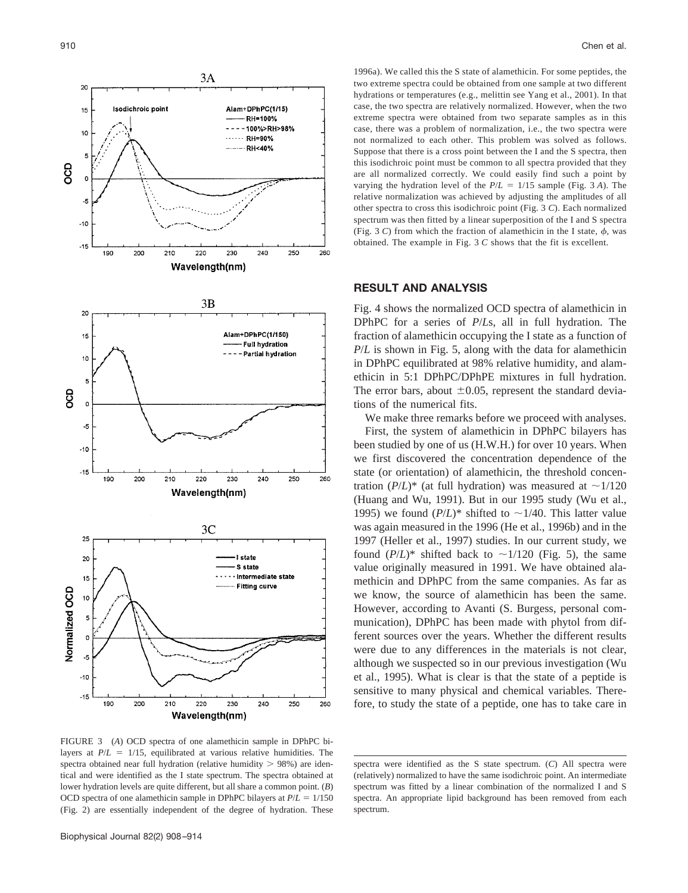

1996a). We called this the S state of alamethicin. For some peptides, the two extreme spectra could be obtained from one sample at two different hydrations or temperatures (e.g., melittin see Yang et al., 2001). In that case, the two spectra are relatively normalized. However, when the two extreme spectra were obtained from two separate samples as in this case, there was a problem of normalization, i.e., the two spectra were not normalized to each other. This problem was solved as follows. Suppose that there is a cross point between the I and the S spectra, then this isodichroic point must be common to all spectra provided that they are all normalized correctly. We could easily find such a point by varying the hydration level of the  $P/L = 1/15$  sample (Fig. 3 *A*). The relative normalization was achieved by adjusting the amplitudes of all other spectra to cross this isodichroic point (Fig. 3 *C*). Each normalized spectrum was then fitted by a linear superposition of the I and S spectra (Fig. 3 *C*) from which the fraction of alamethicin in the I state,  $\phi$ , was obtained. The example in Fig. 3 *C* shows that the fit is excellent.

# **RESULT AND ANALYSIS**

Fig. 4 shows the normalized OCD spectra of alamethicin in DPhPC for a series of *P*/*L*s, all in full hydration. The fraction of alamethicin occupying the I state as a function of *P*/*L* is shown in Fig. 5, along with the data for alamethicin in DPhPC equilibrated at 98% relative humidity, and alamethicin in 5:1 DPhPC/DPhPE mixtures in full hydration. The error bars, about  $\pm 0.05$ , represent the standard deviations of the numerical fits.

We make three remarks before we proceed with analyses. First, the system of alamethicin in DPhPC bilayers has been studied by one of us (H.W.H.) for over 10 years. When we first discovered the concentration dependence of the state (or orientation) of alamethicin, the threshold concentration  $(P/L)^*$  (at full hydration) was measured at  $\sim$ 1/120 (Huang and Wu, 1991). But in our 1995 study (Wu et al., 1995) we found  $(P/L)^*$  shifted to  $\sim$  1/40. This latter value was again measured in the 1996 (He et al., 1996b) and in the 1997 (Heller et al., 1997) studies. In our current study, we found  $(P/L)^*$  shifted back to  $\sim 1/120$  (Fig. 5), the same value originally measured in 1991. We have obtained alamethicin and DPhPC from the same companies. As far as we know, the source of alamethicin has been the same. However, according to Avanti (S. Burgess, personal communication), DPhPC has been made with phytol from different sources over the years. Whether the different results were due to any differences in the materials is not clear, although we suspected so in our previous investigation (Wu et al., 1995). What is clear is that the state of a peptide is sensitive to many physical and chemical variables. Therefore, to study the state of a peptide, one has to take care in

FIGURE 3 (*A*) OCD spectra of one alamethicin sample in DPhPC bilayers at  $P/L = 1/15$ , equilibrated at various relative humidities. The spectra obtained near full hydration (relative humidity  $> 98\%$ ) are identical and were identified as the I state spectrum. The spectra obtained at lower hydration levels are quite different, but all share a common point. (*B*) OCD spectra of one alamethicin sample in DPhPC bilayers at  $P/L = 1/150$ (Fig. 2) are essentially independent of the degree of hydration. These

spectra were identified as the S state spectrum. (*C*) All spectra were (relatively) normalized to have the same isodichroic point. An intermediate spectrum was fitted by a linear combination of the normalized I and S spectra. An appropriate lipid background has been removed from each spectrum.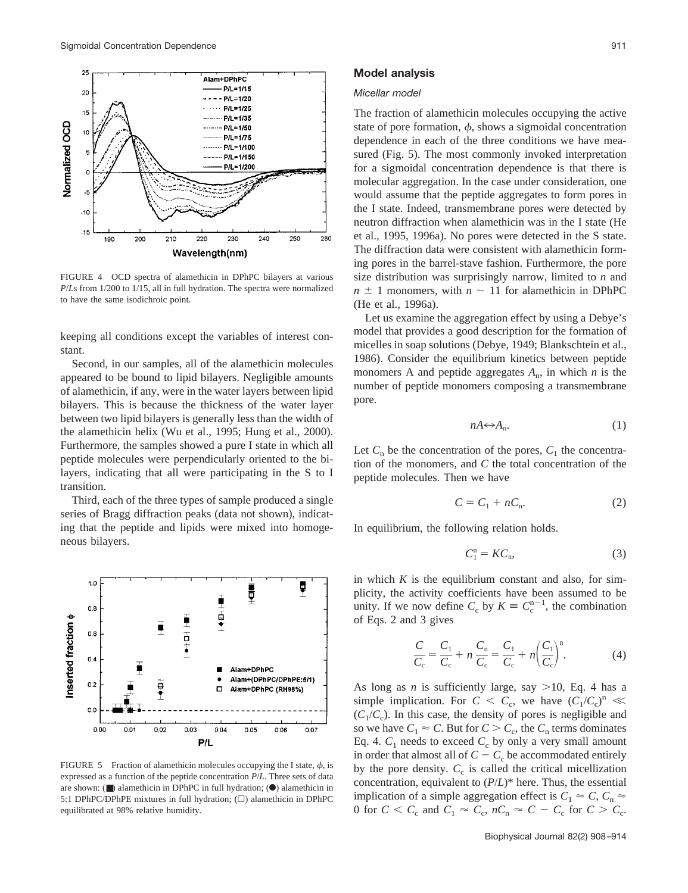

FIGURE 4 OCD spectra of alamethicin in DPhPC bilayers at various *P*/*L*s from 1/200 to 1/15, all in full hydration. The spectra were normalized to have the same isodichroic point.

keeping all conditions except the variables of interest constant.

Second, in our samples, all of the alamethicin molecules appeared to be bound to lipid bilayers. Negligible amounts of alamethicin, if any, were in the water layers between lipid bilayers. This is because the thickness of the water layer between two lipid bilayers is generally less than the width of the alamethicin helix (Wu et al., 1995; Hung et al., 2000). Furthermore, the samples showed a pure I state in which all peptide molecules were perpendicularly oriented to the bilayers, indicating that all were participating in the S to I transition.

Third, each of the three types of sample produced a single series of Bragg diffraction peaks (data not shown), indicating that the peptide and lipids were mixed into homogeneous bilayers.



FIGURE 5 Fraction of alamethicin molecules occupying the I state,  $\phi$ , is expressed as a function of the peptide concentration *P*/*L*. Three sets of data are shown:  $(\blacksquare)$  alamethicin in DPhPC in full hydration;  $(\lozenge)$  alamethicin in 5:1 DPhPC/DPhPE mixtures in full hydration;  $(\Box)$  alamethicin in DPhPC equilibrated at 98% relative humidity.

#### **Model analysis**

#### *Micellar model*

The fraction of alamethicin molecules occupying the active state of pore formation,  $\phi$ , shows a sigmoidal concentration dependence in each of the three conditions we have measured (Fig. 5). The most commonly invoked interpretation for a sigmoidal concentration dependence is that there is molecular aggregation. In the case under consideration, one would assume that the peptide aggregates to form pores in the I state. Indeed, transmembrane pores were detected by neutron diffraction when alamethicin was in the I state (He et al., 1995, 1996a). No pores were detected in the S state. The diffraction data were consistent with alamethicin forming pores in the barrel-stave fashion. Furthermore, the pore size distribution was surprisingly narrow, limited to *n* and  $n \pm 1$  monomers, with  $n \sim 11$  for alamethicin in DPhPC (He et al., 1996a).

Let us examine the aggregation effect by using a Debye's model that provides a good description for the formation of micelles in soap solutions (Debye, 1949; Blankschtein et al., 1986). Consider the equilibrium kinetics between peptide monomers A and peptide aggregates  $A_n$ , in which *n* is the number of peptide monomers composing a transmembrane pore.

$$
nA \leftrightarrow A_n. \tag{1}
$$

Let  $C_n$  be the concentration of the pores,  $C_1$  the concentration of the monomers, and *C* the total concentration of the peptide molecules. Then we have

$$
C = C_1 + nC_n. \tag{2}
$$

In equilibrium, the following relation holds.

$$
C_1^n = KC_n,\tag{3}
$$

in which  $K$  is the equilibrium constant and also, for simplicity, the activity coefficients have been assumed to be unity. If we now define  $C_c$  by  $K \equiv C_c^{n-1}$ , the combination of Eqs. 2 and 3 gives

$$
\frac{C}{C_{c}} = \frac{C_{1}}{C_{c}} + n \frac{C_{n}}{C_{c}} = \frac{C_{1}}{C_{c}} + n \left(\frac{C_{1}}{C_{c}}\right)^{n}.
$$
 (4)

As long as *n* is sufficiently large, say  $>10$ , Eq. 4 has a simple implication. For  $C < C_c$ , we have  $(C_1/C_c)^n \ll$  $(C_1/C_c)$ . In this case, the density of pores is negligible and so we have  $C_1 \approx C$ . But for  $C > C_c$ , the  $C_n$  terms dominates Eq. 4.  $C_1$  needs to exceed  $C_c$  by only a very small amount in order that almost all of  $C - C_c$  be accommodated entirely by the pore density.  $C_c$  is called the critical micellization concentration, equivalent to (*P*/*L*)\* here. Thus, the essential implication of a simple aggregation effect is  $C_1 \approx C$ ,  $C_n \approx$ 0 for  $C < C_c$  and  $C_1 \approx C_c$ ,  $nC_n \approx C - C_c$  for  $C > C_c$ .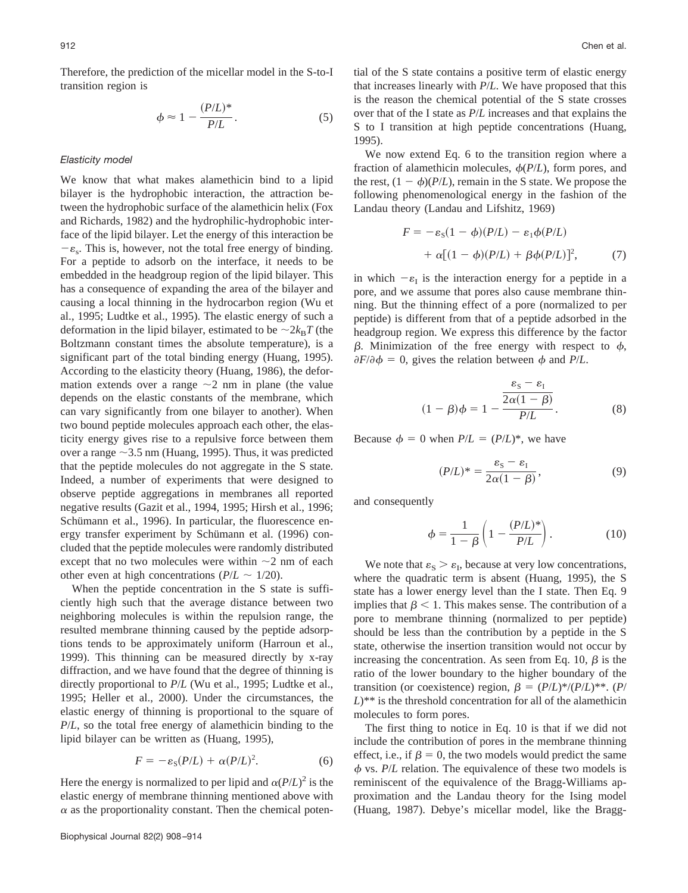Therefore, the prediction of the micellar model in the S-to-I transition region is

$$
\phi \approx 1 - \frac{(P/L)^*}{P/L}.\tag{5}
$$

#### *Elasticity model*

We know that what makes alamethicin bind to a lipid bilayer is the hydrophobic interaction, the attraction between the hydrophobic surface of the alamethicin helix (Fox and Richards, 1982) and the hydrophilic-hydrophobic interface of the lipid bilayer. Let the energy of this interaction be  $-\varepsilon_s$ . This is, however, not the total free energy of binding. For a peptide to adsorb on the interface, it needs to be embedded in the headgroup region of the lipid bilayer. This has a consequence of expanding the area of the bilayer and causing a local thinning in the hydrocarbon region (Wu et al., 1995; Ludtke et al., 1995). The elastic energy of such a deformation in the lipid bilayer, estimated to be  $\sim 2k_BT$  (the Boltzmann constant times the absolute temperature), is a significant part of the total binding energy (Huang, 1995). According to the elasticity theory (Huang, 1986), the deformation extends over a range  $\sim$ 2 nm in plane (the value depends on the elastic constants of the membrane, which can vary significantly from one bilayer to another). When two bound peptide molecules approach each other, the elasticity energy gives rise to a repulsive force between them over a range  $\sim$ 3.5 nm (Huang, 1995). Thus, it was predicted that the peptide molecules do not aggregate in the S state. Indeed, a number of experiments that were designed to observe peptide aggregations in membranes all reported negative results (Gazit et al., 1994, 1995; Hirsh et al., 1996; Schümann et al., 1996). In particular, the fluorescence energy transfer experiment by Schümann et al. (1996) concluded that the peptide molecules were randomly distributed except that no two molecules were within  $\sim$ 2 nm of each other even at high concentrations ( $P/L \sim 1/20$ ).

When the peptide concentration in the S state is sufficiently high such that the average distance between two neighboring molecules is within the repulsion range, the resulted membrane thinning caused by the peptide adsorptions tends to be approximately uniform (Harroun et al., 1999). This thinning can be measured directly by x-ray diffraction, and we have found that the degree of thinning is directly proportional to *P*/*L* (Wu et al., 1995; Ludtke et al., 1995; Heller et al., 2000). Under the circumstances, the elastic energy of thinning is proportional to the square of *P*/*L*, so the total free energy of alamethicin binding to the lipid bilayer can be written as (Huang, 1995),

$$
F = -\varepsilon_{\rm S}(P/L) + \alpha (P/L)^2. \tag{6}
$$

Here the energy is normalized to per lipid and  $\alpha (P/L)^2$  is the elastic energy of membrane thinning mentioned above with  $\alpha$  as the proportionality constant. Then the chemical potential of the S state contains a positive term of elastic energy that increases linearly with *P*/*L*. We have proposed that this is the reason the chemical potential of the S state crosses over that of the I state as *P*/*L* increases and that explains the S to I transition at high peptide concentrations (Huang, 1995).

We now extend Eq. 6 to the transition region where a fraction of alamethicin molecules,  $\phi(P/L)$ , form pores, and the rest,  $(1 - \phi)(P/L)$ , remain in the S state. We propose the following phenomenological energy in the fashion of the Landau theory (Landau and Lifshitz, 1969)

$$
F = -\varepsilon_{\rm S}(1 - \phi)(P/L) - \varepsilon_1 \phi(P/L)
$$

$$
+ \alpha[(1 - \phi)(P/L) + \beta \phi(P/L)]^2, \tag{7}
$$

in which  $-\varepsilon_1$  is the interaction energy for a peptide in a pore, and we assume that pores also cause membrane thinning. But the thinning effect of a pore (normalized to per peptide) is different from that of a peptide adsorbed in the headgroup region. We express this difference by the factor  $\beta$ . Minimization of the free energy with respect to  $\phi$ ,  $\partial F/\partial \phi = 0$ , gives the relation between  $\phi$  and *P*/*L*.

$$
(1 - \beta)\phi = 1 - \frac{\frac{\varepsilon_S - \varepsilon_I}{2\alpha(1 - \beta)}}{P/L}.
$$
 (8)

Because  $\phi = 0$  when  $P/L = (P/L)^*$ , we have

$$
(P/L)^* = \frac{\varepsilon_S - \varepsilon_I}{2\alpha(1 - \beta)},\tag{9}
$$

and consequently

$$
\phi = \frac{1}{1 - \beta} \left( 1 - \frac{(P/L)^*}{P/L} \right). \tag{10}
$$

We note that  $\varepsilon_{\rm S} > \varepsilon_{\rm I}$ , because at very low concentrations, where the quadratic term is absent (Huang, 1995), the S state has a lower energy level than the I state. Then Eq. 9 implies that  $\beta$  < 1. This makes sense. The contribution of a pore to membrane thinning (normalized to per peptide) should be less than the contribution by a peptide in the S state, otherwise the insertion transition would not occur by increasing the concentration. As seen from Eq. 10,  $\beta$  is the ratio of the lower boundary to the higher boundary of the transition (or coexistence) region,  $\beta = (P/L)^*/(P/L)^{**}$ . (*P*/  $L$ <sup>\*\*</sup> is the threshold concentration for all of the alamethicin molecules to form pores.

The first thing to notice in Eq. 10 is that if we did not include the contribution of pores in the membrane thinning effect, i.e., if  $\beta = 0$ , the two models would predict the same  $\phi$  vs. *P/L* relation. The equivalence of these two models is reminiscent of the equivalence of the Bragg-Williams approximation and the Landau theory for the Ising model (Huang, 1987). Debye's micellar model, like the Bragg-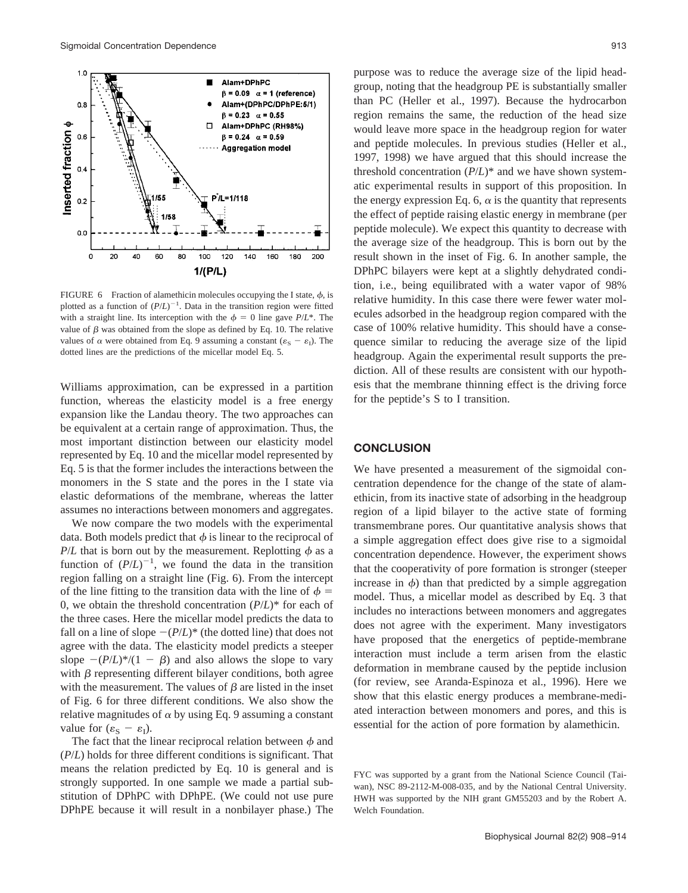

FIGURE 6 Fraction of alamethic in molecules occupying the I state,  $\phi$ , is plotted as a function of  $(P/L)^{-1}$ . Data in the transition region were fitted with a straight line. Its interception with the  $\phi = 0$  line gave  $P/L^*$ . The value of  $\beta$  was obtained from the slope as defined by Eq. 10. The relative values of  $\alpha$  were obtained from Eq. 9 assuming a constant  $(\varepsilon_{\rm S} - \varepsilon_{\rm I})$ . The dotted lines are the predictions of the micellar model Eq. 5.

Williams approximation, can be expressed in a partition function, whereas the elasticity model is a free energy expansion like the Landau theory. The two approaches can be equivalent at a certain range of approximation. Thus, the most important distinction between our elasticity model represented by Eq. 10 and the micellar model represented by Eq. 5 is that the former includes the interactions between the monomers in the S state and the pores in the I state via elastic deformations of the membrane, whereas the latter assumes no interactions between monomers and aggregates.

We now compare the two models with the experimental data. Both models predict that  $\phi$  is linear to the reciprocal of *P*/*L* that is born out by the measurement. Replotting  $\phi$  as a function of  $(P/L)^{-1}$ , we found the data in the transition region falling on a straight line (Fig. 6). From the intercept of the line fitting to the transition data with the line of  $\phi =$ 0, we obtain the threshold concentration (*P*/*L*)\* for each of the three cases. Here the micellar model predicts the data to fall on a line of slope  $-(P/L)^*$  (the dotted line) that does not agree with the data. The elasticity model predicts a steeper slope  $-(P/L)*(1 - \beta)$  and also allows the slope to vary with  $\beta$  representing different bilayer conditions, both agree with the measurement. The values of  $\beta$  are listed in the inset of Fig. 6 for three different conditions. We also show the relative magnitudes of  $\alpha$  by using Eq. 9 assuming a constant value for  $(\varepsilon_{\rm S} - \varepsilon_{\rm I})$ .

The fact that the linear reciprocal relation between  $\phi$  and (*P*/*L*) holds for three different conditions is significant. That means the relation predicted by Eq. 10 is general and is strongly supported. In one sample we made a partial substitution of DPhPC with DPhPE. (We could not use pure DPhPE because it will result in a nonbilayer phase.) The purpose was to reduce the average size of the lipid headgroup, noting that the headgroup PE is substantially smaller than PC (Heller et al., 1997). Because the hydrocarbon region remains the same, the reduction of the head size would leave more space in the headgroup region for water and peptide molecules. In previous studies (Heller et al., 1997, 1998) we have argued that this should increase the threshold concentration (*P*/*L*)\* and we have shown systematic experimental results in support of this proposition. In the energy expression Eq. 6,  $\alpha$  is the quantity that represents the effect of peptide raising elastic energy in membrane (per peptide molecule). We expect this quantity to decrease with the average size of the headgroup. This is born out by the result shown in the inset of Fig. 6. In another sample, the DPhPC bilayers were kept at a slightly dehydrated condition, i.e., being equilibrated with a water vapor of 98% relative humidity. In this case there were fewer water molecules adsorbed in the headgroup region compared with the case of 100% relative humidity. This should have a consequence similar to reducing the average size of the lipid headgroup. Again the experimental result supports the prediction. All of these results are consistent with our hypothesis that the membrane thinning effect is the driving force for the peptide's S to I transition.

# **CONCLUSION**

We have presented a measurement of the sigmoidal concentration dependence for the change of the state of alamethicin, from its inactive state of adsorbing in the headgroup region of a lipid bilayer to the active state of forming transmembrane pores. Our quantitative analysis shows that a simple aggregation effect does give rise to a sigmoidal concentration dependence. However, the experiment shows that the cooperativity of pore formation is stronger (steeper increase in  $\phi$ ) than that predicted by a simple aggregation model. Thus, a micellar model as described by Eq. 3 that includes no interactions between monomers and aggregates does not agree with the experiment. Many investigators have proposed that the energetics of peptide-membrane interaction must include a term arisen from the elastic deformation in membrane caused by the peptide inclusion (for review, see Aranda-Espinoza et al., 1996). Here we show that this elastic energy produces a membrane-mediated interaction between monomers and pores, and this is essential for the action of pore formation by alamethicin.

FYC was supported by a grant from the National Science Council (Taiwan), NSC 89-2112-M-008-035, and by the National Central University. HWH was supported by the NIH grant GM55203 and by the Robert A. Welch Foundation.